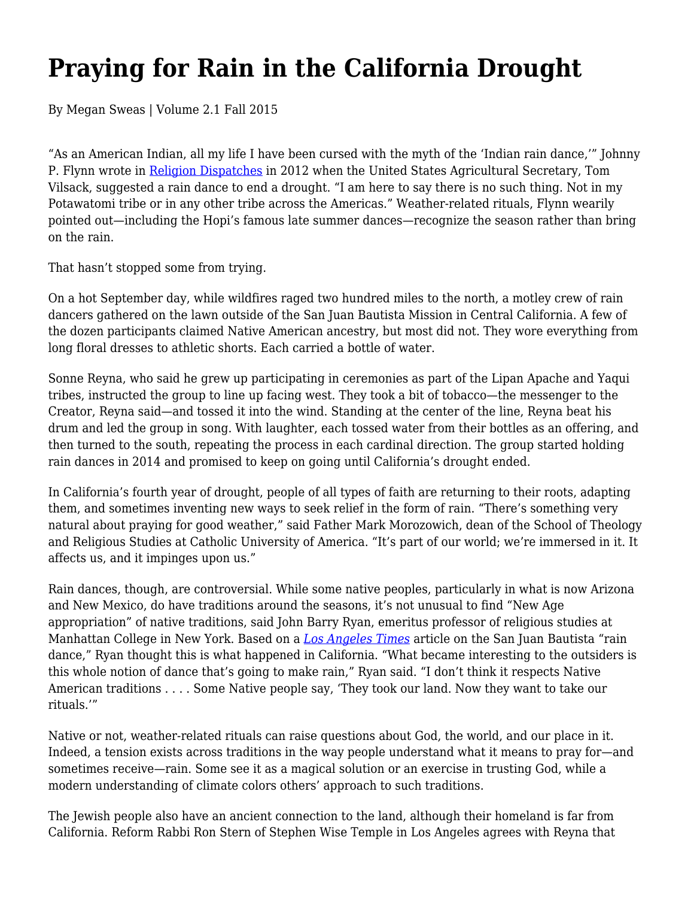## **Praying for Rain in the California Drought**

By Megan Sweas | Volume 2.1 Fall 2015

"As an American Indian, all my life I have been cursed with the myth of the 'Indian rain dance,'" Johnny P. Flynn wrote in Religion Dispatches in 2012 when the United States Agricultural Secretary, Tom Vilsack, suggested a rain dance to end a drought. "I am here to say there is no such thing. Not in my Potawatomi tribe or in any other tribe across the Americas." Weather-related rituals, Flynn wearily pointed out—including the Hopi's famous late summer dances—recognize the season rather than bring on the rain.

That hasn't stopped some from trying.

On a hot September day, while wildfires raged two hundred miles to the north, a motley crew of rain dancers gathered on the lawn outside of the San Juan Bautista Mission in Central California. A few of the dozen participants claimed Native American ancestry, but most did not. They wore everything from long floral dresses to athletic shorts. Each carried a bottle of water.

Sonne Reyna, who said he grew up participating in ceremonies as part of the Lipan Apache and Yaqui tribes, instructed the group to line up facing west. They took a bit of tobacco—the messenger to the Creator, Reyna said—and tossed it into the wind. Standing at the center of the line, Reyna beat his drum and led the group in song. With laughter, each tossed water from their bottles as an offering, and then turned to the south, repeating the process in each cardinal direction. The group started holding rain dances in 2014 and promised to keep on going until California's drought ended.

In California's fourth year of drought, people of all types of faith are returning to their roots, adapting them, and sometimes inventing new ways to seek relief in the form of rain. "There's something very natural about praying for good weather," said Father Mark Morozowich, dean of the School of Theology and Religious Studies at Catholic University of America. "It's part of our world; we're immersed in it. It affects us, and it impinges upon us."

Rain dances, though, are controversial. While some native peoples, particularly in what is now Arizona and New Mexico, do have traditions around the seasons, it's not unusual to find "New Age appropriation" of native traditions, said John Barry Ryan, emeritus professor of religious studies at Manhattan College in New York. Based on a *Los Angeles Times* article on the San Juan Bautista "rain dance," Ryan thought this is what happened in California. "What became interesting to the outsiders is this whole notion of dance that's going to make rain," Ryan said. "I don't think it respects Native American traditions . . . . Some Native people say, 'They took our land. Now they want to take our rituals.'"

Native or not, weather-related rituals can raise questions about God, the world, and our place in it. Indeed, a tension exists across traditions in the way people understand what it means to pray for—and sometimes receive—rain. Some see it as a magical solution or an exercise in trusting God, while a modern understanding of climate colors others' approach to such traditions.

The Jewish people also have an ancient connection to the land, although their homeland is far from California. Reform Rabbi Ron Stern of Stephen Wise Temple in Los Angeles agrees with Reyna that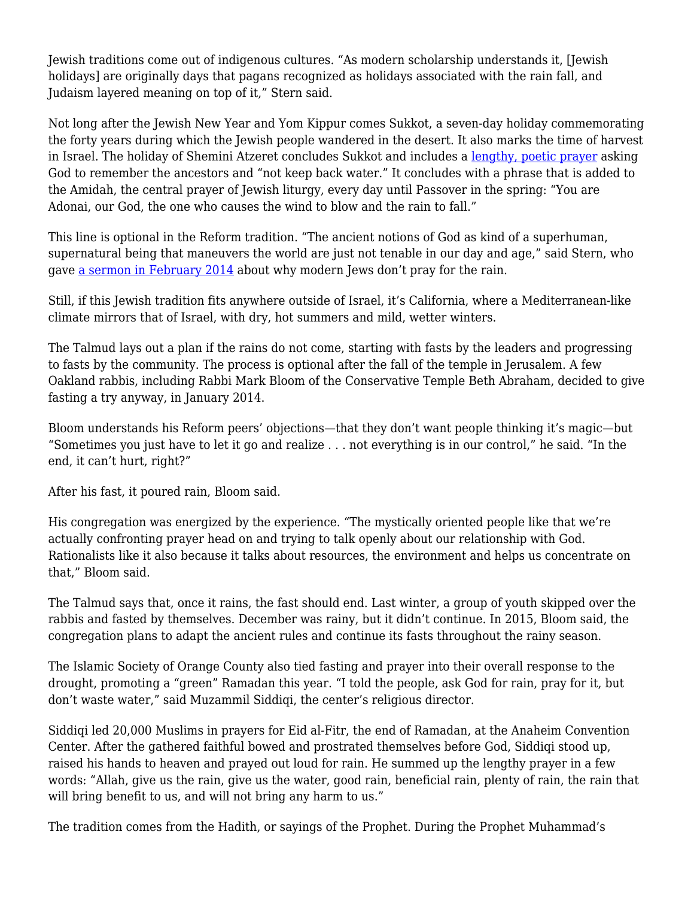Jewish traditions come out of indigenous cultures. "As modern scholarship understands it, [Jewish holidays] are originally days that pagans recognized as holidays associated with the rain fall, and Judaism layered meaning on top of it," Stern said.

Not long after the Jewish New Year and Yom Kippur comes Sukkot, a seven-day holiday commemorating the forty years during which the Jewish people wandered in the desert. It also marks the time of harvest in Israel. The holiday of Shemini Atzeret concludes Sukkot and includes a lengthy, poetic prayer asking God to remember the ancestors and "not keep back water." It concludes with a phrase that is added to the Amidah, the central prayer of Jewish liturgy, every day until Passover in the spring: "You are Adonai, our God, the one who causes the wind to blow and the rain to fall."

This line is optional in the Reform tradition. "The ancient notions of God as kind of a superhuman, supernatural being that maneuvers the world are just not tenable in our day and age," said Stern, who gave a sermon in February 2014 about why modern Jews don't pray for the rain.

Still, if this Jewish tradition fits anywhere outside of Israel, it's California, where a Mediterranean-like climate mirrors that of Israel, with dry, hot summers and mild, wetter winters.

The Talmud lays out a plan if the rains do not come, starting with fasts by the leaders and progressing to fasts by the community. The process is optional after the fall of the temple in Jerusalem. A few Oakland rabbis, including Rabbi Mark Bloom of the Conservative Temple Beth Abraham, decided to give fasting a try anyway, in January 2014.

Bloom understands his Reform peers' objections—that they don't want people thinking it's magic—but "Sometimes you just have to let it go and realize . . . not everything is in our control," he said. "In the end, it can't hurt, right?"

After his fast, it poured rain, Bloom said.

His congregation was energized by the experience. "The mystically oriented people like that we're actually confronting prayer head on and trying to talk openly about our relationship with God. Rationalists like it also because it talks about resources, the environment and helps us concentrate on that," Bloom said.

The Talmud says that, once it rains, the fast should end. Last winter, a group of youth skipped over the rabbis and fasted by themselves. December was rainy, but it didn't continue. In 2015, Bloom said, the congregation plans to adapt the ancient rules and continue its fasts throughout the rainy season.

The Islamic Society of Orange County also tied fasting and prayer into their overall response to the drought, promoting a "green" Ramadan this year. "I told the people, ask God for rain, pray for it, but don't waste water," said Muzammil Siddiqi, the center's religious director.

Siddiqi led 20,000 Muslims in prayers for Eid al-Fitr, the end of Ramadan, at the Anaheim Convention Center. After the gathered faithful bowed and prostrated themselves before God, Siddiqi stood up, raised his hands to heaven and prayed out loud for rain. He summed up the lengthy prayer in a few words: "Allah, give us the rain, give us the water, good rain, beneficial rain, plenty of rain, the rain that will bring benefit to us, and will not bring any harm to us."

The tradition comes from the Hadith, or sayings of the Prophet. During the Prophet Muhammad's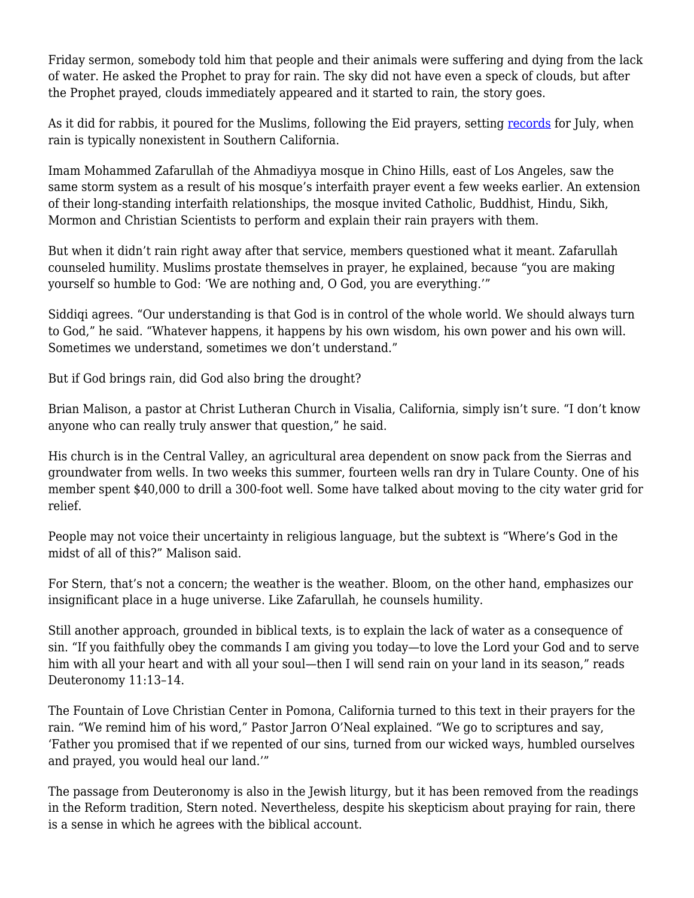Friday sermon, somebody told him that people and their animals were suffering and dying from the lack of water. He asked the Prophet to pray for rain. The sky did not have even a speck of clouds, but after the Prophet prayed, clouds immediately appeared and it started to rain, the story goes.

As it did for rabbis, it poured for the Muslims, following the Eid prayers, setting records for July, when rain is typically nonexistent in Southern California.

Imam Mohammed Zafarullah of the Ahmadiyya mosque in Chino Hills, east of Los Angeles, saw the same storm system as a result of his mosque's interfaith prayer event a few weeks earlier. An extension of their long-standing interfaith relationships, the mosque invited Catholic, Buddhist, Hindu, Sikh, Mormon and Christian Scientists to perform and explain their rain prayers with them.

But when it didn't rain right away after that service, members questioned what it meant. Zafarullah counseled humility. Muslims prostate themselves in prayer, he explained, because "you are making yourself so humble to God: 'We are nothing and, O God, you are everything.'"

Siddiqi agrees. "Our understanding is that God is in control of the whole world. We should always turn to God," he said. "Whatever happens, it happens by his own wisdom, his own power and his own will. Sometimes we understand, sometimes we don't understand."

But if God brings rain, did God also bring the drought?

Brian Malison, a pastor at Christ Lutheran Church in Visalia, California, simply isn't sure. "I don't know anyone who can really truly answer that question," he said.

His church is in the Central Valley, an agricultural area dependent on snow pack from the Sierras and groundwater from wells. In two weeks this summer, fourteen wells ran dry in Tulare County. One of his member spent \$40,000 to drill a 300-foot well. Some have talked about moving to the city water grid for relief.

People may not voice their uncertainty in religious language, but the subtext is "Where's God in the midst of all of this?" Malison said.

For Stern, that's not a concern; the weather is the weather. Bloom, on the other hand, emphasizes our insignificant place in a huge universe. Like Zafarullah, he counsels humility.

Still another approach, grounded in biblical texts, is to explain the lack of water as a consequence of sin. "If you faithfully obey the commands I am giving you today—to love the Lord your God and to serve him with all your heart and with all your soul—then I will send rain on your land in its season," reads Deuteronomy 11:13–14.

The Fountain of Love Christian Center in Pomona, California turned to this text in their prayers for the rain. "We remind him of his word," Pastor Jarron O'Neal explained. "We go to scriptures and say, 'Father you promised that if we repented of our sins, turned from our wicked ways, humbled ourselves and prayed, you would heal our land.'"

The passage from Deuteronomy is also in the Jewish liturgy, but it has been removed from the readings in the Reform tradition, Stern noted. Nevertheless, despite his skepticism about praying for rain, there is a sense in which he agrees with the biblical account.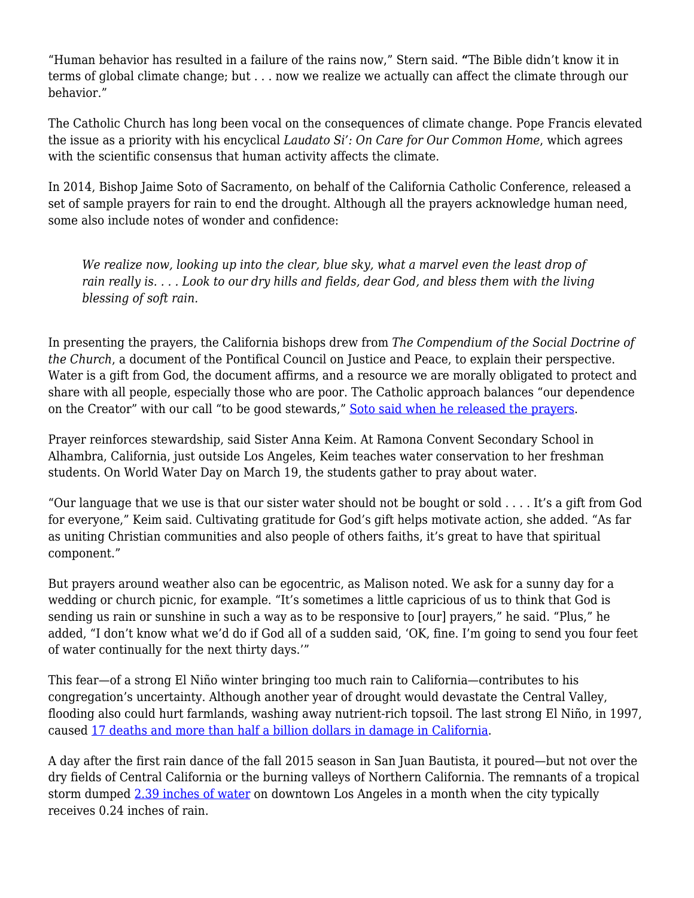"Human behavior has resulted in a failure of the rains now," Stern said. **"**The Bible didn't know it in terms of global climate change; but . . . now we realize we actually can affect the climate through our behavior."

The Catholic Church has long been vocal on the consequences of climate change. Pope Francis elevated the issue as a priority with his encyclical *Laudato Si': On Care for Our Common Home*, which agrees with the scientific consensus that human activity affects the climate.

In 2014, Bishop Jaime Soto of Sacramento, on behalf of the California Catholic Conference, released a set of sample prayers for rain to end the drought. Although all the prayers acknowledge human need, some also include notes of wonder and confidence:

*We realize now, looking up into the clear, blue sky, what a marvel even the least drop of rain really is. . . . Look to our dry hills and fields, dear God, and bless them with the living blessing of soft rain.*

In presenting the prayers, the California bishops drew from *The Compendium of the Social Doctrine of the Church*, a document of the Pontifical Council on Justice and Peace, to explain their perspective. Water is a gift from God, the document affirms, and a resource we are morally obligated to protect and share with all people, especially those who are poor. The Catholic approach balances "our dependence on the Creator" with our call "to be good stewards," Soto said when he released the prayers.

Prayer reinforces stewardship, said Sister Anna Keim. At Ramona Convent Secondary School in Alhambra, California, just outside Los Angeles, Keim teaches water conservation to her freshman students. On World Water Day on March 19, the students gather to pray about water.

"Our language that we use is that our sister water should not be bought or sold . . . . It's a gift from God for everyone," Keim said. Cultivating gratitude for God's gift helps motivate action, she added. "As far as uniting Christian communities and also people of others faiths, it's great to have that spiritual component."

But prayers around weather also can be egocentric, as Malison noted. We ask for a sunny day for a wedding or church picnic, for example. "It's sometimes a little capricious of us to think that God is sending us rain or sunshine in such a way as to be responsive to [our] prayers," he said. "Plus," he added, "I don't know what we'd do if God all of a sudden said, 'OK, fine. I'm going to send you four feet of water continually for the next thirty days.'"

This fear—of a strong El Niño winter bringing too much rain to California—contributes to his congregation's uncertainty. Although another year of drought would devastate the Central Valley, flooding also could hurt farmlands, washing away nutrient-rich topsoil. The last strong El Niño, in 1997, caused 17 deaths and more than half a billion dollars in damage in California.

A day after the first rain dance of the fall 2015 season in San Juan Bautista, it poured—but not over the dry fields of Central California or the burning valleys of Northern California. The remnants of a tropical storm dumped 2.39 inches of water on downtown Los Angeles in a month when the city typically receives 0.24 inches of rain.